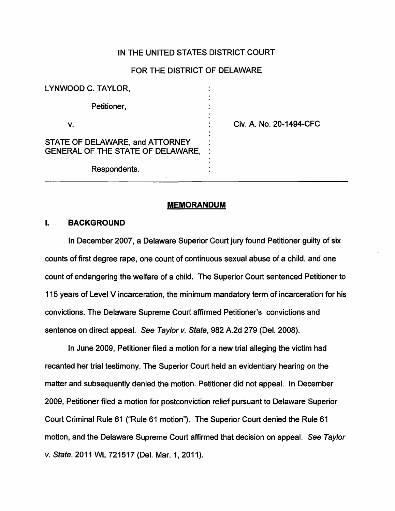# IN THE UNITED STATES DISTRICT COURT

### FOR THE DISTRICT OF DELAWARE

| LYNWOOD C. TAYLOR,                                                   |                         |
|----------------------------------------------------------------------|-------------------------|
| Petitioner,                                                          |                         |
| ۷.                                                                   | Civ. A. No. 20-1494-CFC |
| STATE OF DELAWARE, and ATTORNEY<br>GENERAL OF THE STATE OF DELAWARE, |                         |
| Respondents.                                                         |                         |

#### **MEMORANDUM**

# I. **BACKGROUND**

In December 2007, a Delaware Superior Court jury found Petitioner guilty of six counts of first degree rape, one count of continuous sexual abuse of a child, and one count of endangering the welfare of a child. The Superior Court sentenced Petitioner to 115 years of Level V incarceration, the minimum mandatory term of incarceration for his convictions. The Delaware Supreme Court affirmed Petitioner's convictions and sentence on direct appeal. See Taylor v. State, 982 A.2d 279 (Del. 2008).

In June 2009, Petitioner filed a motion for a new trial alleging the victim had recanted her trial testimony. The Superior Court held an evidentiary hearing on the matter and subsequently denied the motion. Petitioner did not appeal. In December 2009, Petitioner filed a motion for postconviction relief pursuant to Delaware Superior Court Criminal Rule 61 ("Rule 61 motion"). The Superior Court denied the Rule 61 motion, and the Delaware Supreme Court affirmed that decision on appeal. See Taylor v. State, 2011 WL 721517 (Del. Mar. 1, 2011 ).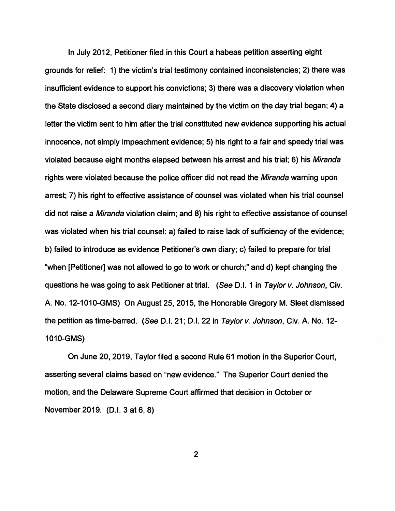In July 2012, Petitioner filed in this Court a habeas petition asserting eight grounds for relief: 1) the victim's trial testimony contained inconsistencies; 2) there was insufficient evidence to support his convictions; 3) there was a discovery violation when the State disclosed a second diary maintained by the victim on the day trial began; 4) a letter the victim sent to him after the trial constituted new evidence supporting his actual innocence, not simply impeachment evidence; 5) his right to a fair and speedy trial was violated because eight months elapsed between his arrest and his trial; 6) his Miranda rights were violated because the police officer did not read the Miranda warning upon arrest; 7) his right to effective assistance of counsel was violated when his trial counsel did not raise a Miranda violation claim; and 8) his right to effective assistance of counsel was violated when his trial counsel: a) failed to raise lack of sufficiency of the evidence; b) failed to introduce as evidence Petitioner's own diary; c) failed to prepare for trial "when [Petitioner] was not allowed to go to work or church;" and d) kept changing the questions he was going to ask Petitioner at trial. (See D.I. 1 in Taylor v. Johnson, Civ. A. No. 12-1010-GMS) On August 25, 2015, the Honorable Gregory M. Sleet dismissed the petition as time-barred. (See D.I. 21; D.I. 22 in Taylor v. Johnson, Civ. A. No. 12- 1010-GMS)

On June 20, 2019, Taylor filed a second Rule 61 motion in the Superior Court, asserting several claims based on "new evidence." The Superior Court denied the motion, and the Delaware Supreme Court affirmed that decision in October or November 2019. (D.I. 3 at 6, 8)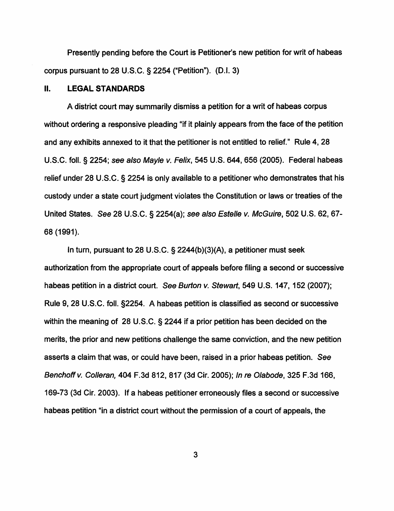Presently pending before the Court is Petitioner's new petition for writ of habeas corpus pursuant to 28 U.S.C. § 2254 ("Petition"). (D.I. 3)

# II. **LEGAL STANDARDS**

A district court may summarily dismiss a petition for a writ of habeas corpus without ordering a responsive pleading "if it plainly appears from the face of the petition and any exhibits annexed to it that the petitioner is not entitled to relief." Rule 4, 28 U.S.C. foll.§ 2254; see also Mayle v. Felix, 545 U.S. 644,656 (2005). Federal habeas relief under 28 U.S.C. § 2254 is only available to a petitioner who demonstrates that his custody under a state court judgment violates the Constitution or laws or treaties of the United States. See 28 U.S.C. § 2254(a); see also Estelle v. McGuire, 502 U.S. 62, 67- 68 (1991).

In turn, pursuant to 28 U.S.C. § 2244(b)(3)(A), a petitioner must seek authorization from the appropriate court of appeals before filing a second or successive habeas petition in a district court. See Burton v. Stewart, 549 U.S. 147, 152 (2007); Rule 9, 28 U.S.C. foll. §2254. A habeas petition is classified as second or successive within the meaning of 28 U.S.C. § 2244 if a prior petition has been decided on the merits, the prior and new petitions challenge the same conviction, and the new petition asserts a claim that was, or could have been, raised in a prior habeas petition. See Benchoff v. Colleran, 404 F.3d 812, 817 (3d Cir. 2005); In re Olabode, 325 F.3d 166, 169-73 (3d Cir. 2003). If a habeas petitioner erroneously files a second or successive habeas petition "in a district court without the permission of a court of appeals, the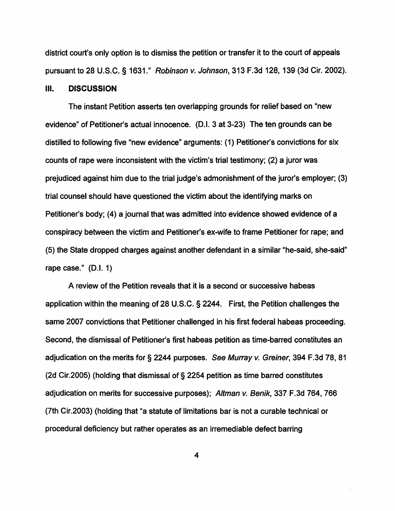district court's only option is to dismiss the petition or transfer it to the court of appeals pursuant to 28 U.S.C. § 1631." Robinson v. Johnson, 313 F.3d 128, 139 (3d Cir. 2002).

#### Ill. **DISCUSSION**

The instant Petition asserts ten overlapping grounds for relief based on "new evidence" of Petitioner's actual innocence. (D.1. 3 at 3-23) The ten grounds can be distilled to following five "new evidence" arguments: (1) Petitioner's convictions for six counts of rape were inconsistent with the victim's trial testimony; (2) a juror was prejudiced against him due to the trial judge's admonishment of the juror's employer; (3) trial counsel should have questioned the victim about the identifying marks on Petitioner's body; (4) a journal that was admitted into evidence showed evidence of a conspiracy between the victim and Petitioner's ex-wife to frame Petitioner for rape; and (5) the State dropped charges against another defendant in a similar "he-said, she-said" rape case." (D.I. 1)

A review of the Petition reveals that it is a second or successive habeas application within the meaning of 28 U.S.C. § 2244. First, the Petition challenges the same 2007 convictions that Petitioner challenged in his first federal habeas proceeding. Second, the dismissal of Petitioner's first habeas petition as time-barred constitutes an adjudication on the merits for § 2244 purposes. See Murray v. Greiner, 394 F.3d 78, 81 (2d Cir.2005) (holding that dismissal of § 2254 petition as time barred constitutes adjudication on merits for successive purposes); Altman v. Benik, 337 F.3d 764, 766 (7th Cir.2003) (holding that "a statute of limitations bar is not a curable technical or procedural deficiency but rather operates as an irremediable defect barring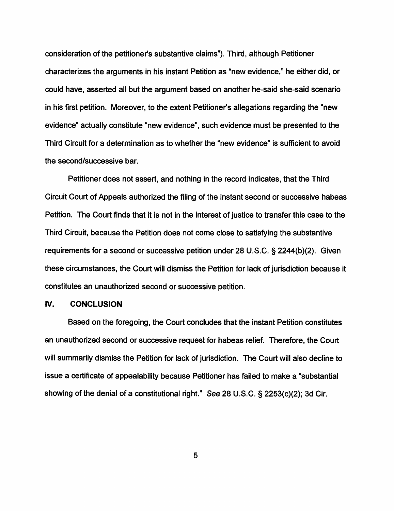consideration of the petitioner's substantive claims"). Third, although Petitioner characterizes the arguments in his instant Petition as "new evidence," he either did, or could have, asserted all but the argument based on another he-said she-said scenario in his first petition. Moreover, to the extent Petitioner's allegations regarding the "new evidence" actually constitute "new evidence", such evidence must be presented to the Third Circuit for a determination as to whether the "new evidence" is sufficient to avoid the second/successive bar.

Petitioner does not assert, and nothing in the record indicates, that the Third Circuit Court of Appeals authorized the filing of the instant second or successive habeas Petition. The Court finds that it is not in the interest of justice to transfer this case to the Third Circuit, because the Petition does not come close to satisfying the substantive requirements for a second or successive petition under 28 U.S.C. § 2244(b)(2). Given these circumstances, the Court will dismiss the Petition for lack of jurisdiction because it constitutes an unauthorized second or successive petition.

### **IV. CONCLUSION**

Based on the foregoing, the Court concludes that the instant Petition constitutes an unauthorized second or successive request for habeas relief. Therefore, the Court will summarily dismiss the Petition for lack of jurisdiction. The Court will also decline to issue a certificate of appealability because Petitioner has failed to make a "substantial showing of the denial of a constitutional right." See 28 U.S.C. § 2253(c)(2); 3d Cir.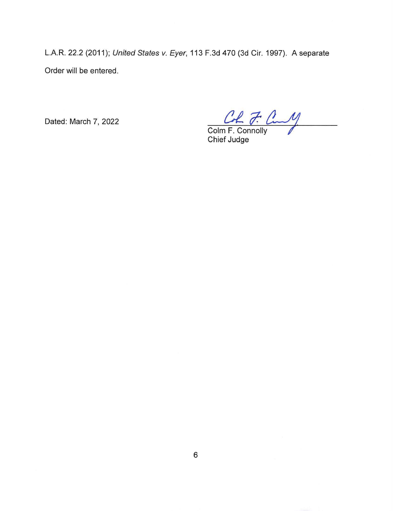L.A.R. 22.2 (2011); United States v. Eyer, 113 F.3d 470 (3d Cir. 1997). A separate Order will be entered.

Dated: March 7, 2022

Colm F. Connolly

Chief Judge